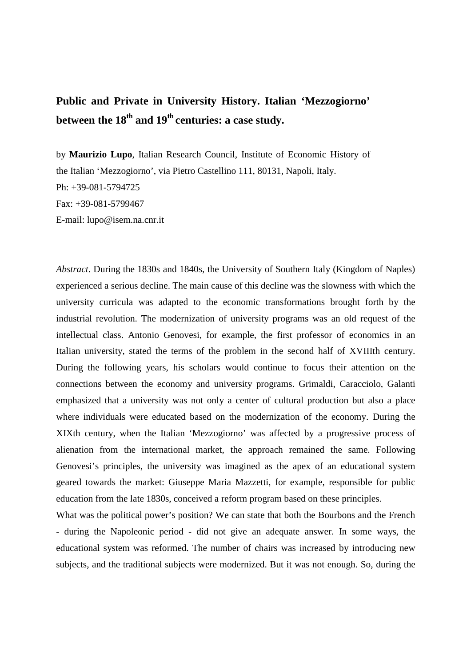## **Public and Private in University History. Italian 'Mezzogiorno' between the 18th and 19th centuries: a case study.**

by **Maurizio Lupo**, Italian Research Council, Institute of Economic History of the Italian 'Mezzogiorno', via Pietro Castellino 111, 80131, Napoli, Italy. Ph: +39-081-5794725 Fax: +39-081-5799467 E-mail: lupo@isem.na.cnr.it

*Abstract*. During the 1830s and 1840s, the University of Southern Italy (Kingdom of Naples) experienced a serious decline. The main cause of this decline was the slowness with which the university curricula was adapted to the economic transformations brought forth by the industrial revolution. The modernization of university programs was an old request of the intellectual class. Antonio Genovesi, for example, the first professor of economics in an Italian university, stated the terms of the problem in the second half of XVIIIth century. During the following years, his scholars would continue to focus their attention on the connections between the economy and university programs. Grimaldi, Caracciolo, Galanti emphasized that a university was not only a center of cultural production but also a place where individuals were educated based on the modernization of the economy. During the XIXth century, when the Italian 'Mezzogiorno' was affected by a progressive process of alienation from the international market, the approach remained the same. Following Genovesi's principles, the university was imagined as the apex of an educational system geared towards the market: Giuseppe Maria Mazzetti, for example, responsible for public education from the late 1830s, conceived a reform program based on these principles.

What was the political power's position? We can state that both the Bourbons and the French - during the Napoleonic period - did not give an adequate answer. In some ways, the educational system was reformed. The number of chairs was increased by introducing new subjects, and the traditional subjects were modernized. But it was not enough. So, during the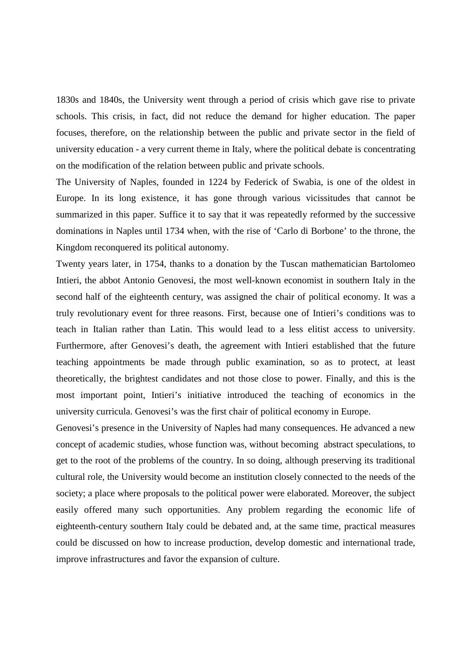1830s and 1840s, the University went through a period of crisis which gave rise to private schools. This crisis, in fact, did not reduce the demand for higher education. The paper focuses, therefore, on the relationship between the public and private sector in the field of university education - a very current theme in Italy, where the political debate is concentrating on the modification of the relation between public and private schools.

The University of Naples, founded in 1224 by Federick of Swabia, is one of the oldest in Europe. In its long existence, it has gone through various vicissitudes that cannot be summarized in this paper. Suffice it to say that it was repeatedly reformed by the successive dominations in Naples until 1734 when, with the rise of 'Carlo di Borbone' to the throne, the Kingdom reconquered its political autonomy.

Twenty years later, in 1754, thanks to a donation by the Tuscan mathematician Bartolomeo Intieri, the abbot Antonio Genovesi, the most well-known economist in southern Italy in the second half of the eighteenth century, was assigned the chair of political economy. It was a truly revolutionary event for three reasons. First, because one of Intieri's conditions was to teach in Italian rather than Latin. This would lead to a less elitist access to university. Furthermore, after Genovesi's death, the agreement with Intieri established that the future teaching appointments be made through public examination, so as to protect, at least theoretically, the brightest candidates and not those close to power. Finally, and this is the most important point, Intieri's initiative introduced the teaching of economics in the university curricula. Genovesi's was the first chair of political economy in Europe.

Genovesi's presence in the University of Naples had many consequences. He advanced a new concept of academic studies, whose function was, without becoming abstract speculations, to get to the root of the problems of the country. In so doing, although preserving its traditional cultural role, the University would become an institution closely connected to the needs of the society; a place where proposals to the political power were elaborated. Moreover, the subject easily offered many such opportunities. Any problem regarding the economic life of eighteenth-century southern Italy could be debated and, at the same time, practical measures could be discussed on how to increase production, develop domestic and international trade, improve infrastructures and favor the expansion of culture.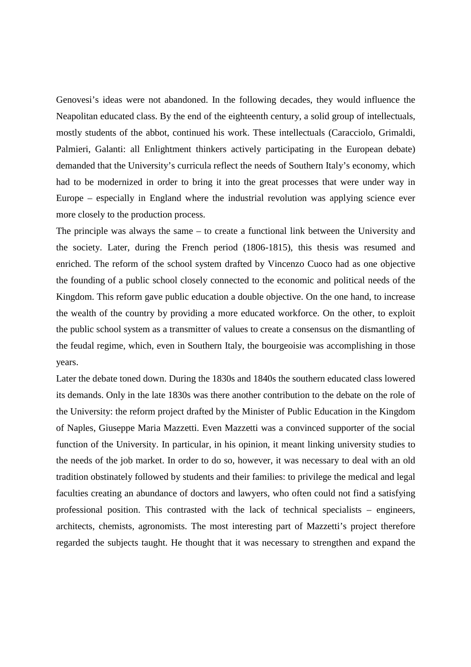Genovesi's ideas were not abandoned. In the following decades, they would influence the Neapolitan educated class. By the end of the eighteenth century, a solid group of intellectuals, mostly students of the abbot, continued his work. These intellectuals (Caracciolo, Grimaldi, Palmieri, Galanti: all Enlightment thinkers actively participating in the European debate) demanded that the University's curricula reflect the needs of Southern Italy's economy, which had to be modernized in order to bring it into the great processes that were under way in Europe – especially in England where the industrial revolution was applying science ever more closely to the production process.

The principle was always the same – to create a functional link between the University and the society. Later, during the French period (1806-1815), this thesis was resumed and enriched. The reform of the school system drafted by Vincenzo Cuoco had as one objective the founding of a public school closely connected to the economic and political needs of the Kingdom. This reform gave public education a double objective. On the one hand, to increase the wealth of the country by providing a more educated workforce. On the other, to exploit the public school system as a transmitter of values to create a consensus on the dismantling of the feudal regime, which, even in Southern Italy, the bourgeoisie was accomplishing in those years.

Later the debate toned down. During the 1830s and 1840s the southern educated class lowered its demands. Only in the late 1830s was there another contribution to the debate on the role of the University: the reform project drafted by the Minister of Public Education in the Kingdom of Naples, Giuseppe Maria Mazzetti. Even Mazzetti was a convinced supporter of the social function of the University. In particular, in his opinion, it meant linking university studies to the needs of the job market. In order to do so, however, it was necessary to deal with an old tradition obstinately followed by students and their families: to privilege the medical and legal faculties creating an abundance of doctors and lawyers, who often could not find a satisfying professional position. This contrasted with the lack of technical specialists – engineers, architects, chemists, agronomists. The most interesting part of Mazzetti's project therefore regarded the subjects taught. He thought that it was necessary to strengthen and expand the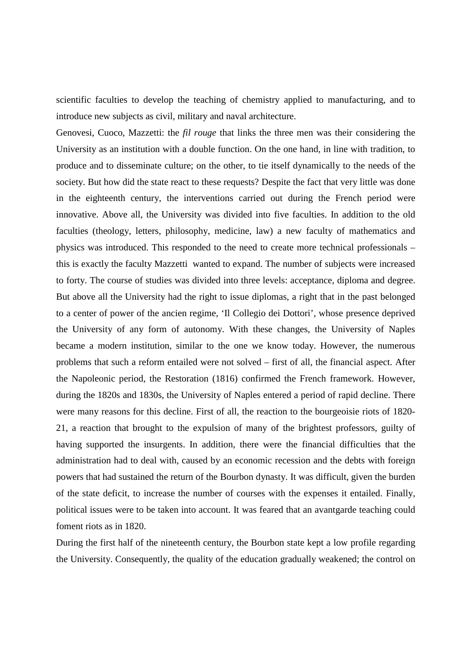scientific faculties to develop the teaching of chemistry applied to manufacturing, and to introduce new subjects as civil, military and naval architecture.

Genovesi, Cuoco, Mazzetti: the *fil rouge* that links the three men was their considering the University as an institution with a double function. On the one hand, in line with tradition, to produce and to disseminate culture; on the other, to tie itself dynamically to the needs of the society. But how did the state react to these requests? Despite the fact that very little was done in the eighteenth century, the interventions carried out during the French period were innovative. Above all, the University was divided into five faculties. In addition to the old faculties (theology, letters, philosophy, medicine, law) a new faculty of mathematics and physics was introduced. This responded to the need to create more technical professionals – this is exactly the faculty Mazzetti wanted to expand. The number of subjects were increased to forty. The course of studies was divided into three levels: acceptance, diploma and degree. But above all the University had the right to issue diplomas, a right that in the past belonged to a center of power of the ancien regime, 'Il Collegio dei Dottori', whose presence deprived the University of any form of autonomy. With these changes, the University of Naples became a modern institution, similar to the one we know today. However, the numerous problems that such a reform entailed were not solved – first of all, the financial aspect. After the Napoleonic period, the Restoration (1816) confirmed the French framework. However, during the 1820s and 1830s, the University of Naples entered a period of rapid decline. There were many reasons for this decline. First of all, the reaction to the bourgeoisie riots of 1820- 21, a reaction that brought to the expulsion of many of the brightest professors, guilty of having supported the insurgents. In addition, there were the financial difficulties that the administration had to deal with, caused by an economic recession and the debts with foreign powers that had sustained the return of the Bourbon dynasty. It was difficult, given the burden of the state deficit, to increase the number of courses with the expenses it entailed. Finally, political issues were to be taken into account. It was feared that an avantgarde teaching could foment riots as in 1820.

During the first half of the nineteenth century, the Bourbon state kept a low profile regarding the University. Consequently, the quality of the education gradually weakened; the control on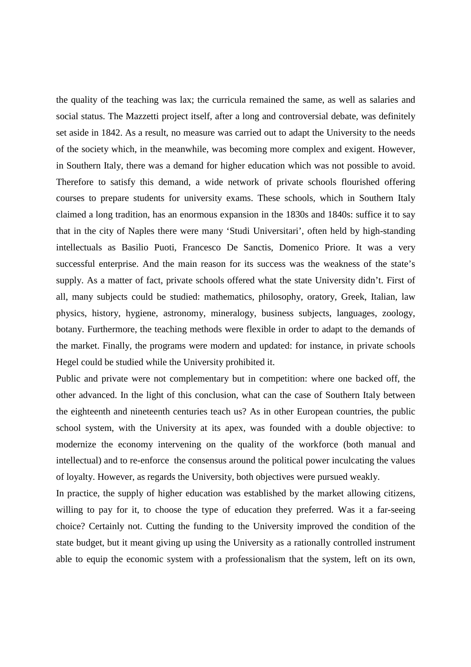the quality of the teaching was lax; the curricula remained the same, as well as salaries and social status. The Mazzetti project itself, after a long and controversial debate, was definitely set aside in 1842. As a result, no measure was carried out to adapt the University to the needs of the society which, in the meanwhile, was becoming more complex and exigent. However, in Southern Italy, there was a demand for higher education which was not possible to avoid. Therefore to satisfy this demand, a wide network of private schools flourished offering courses to prepare students for university exams. These schools, which in Southern Italy claimed a long tradition, has an enormous expansion in the 1830s and 1840s: suffice it to say that in the city of Naples there were many 'Studi Universitari', often held by high-standing intellectuals as Basilio Puoti, Francesco De Sanctis, Domenico Priore. It was a very successful enterprise. And the main reason for its success was the weakness of the state's supply. As a matter of fact, private schools offered what the state University didn't. First of all, many subjects could be studied: mathematics, philosophy, oratory, Greek, Italian, law physics, history, hygiene, astronomy, mineralogy, business subjects, languages, zoology, botany. Furthermore, the teaching methods were flexible in order to adapt to the demands of the market. Finally, the programs were modern and updated: for instance, in private schools Hegel could be studied while the University prohibited it.

Public and private were not complementary but in competition: where one backed off, the other advanced. In the light of this conclusion, what can the case of Southern Italy between the eighteenth and nineteenth centuries teach us? As in other European countries, the public school system, with the University at its apex, was founded with a double objective: to modernize the economy intervening on the quality of the workforce (both manual and intellectual) and to re-enforce the consensus around the political power inculcating the values of loyalty. However, as regards the University, both objectives were pursued weakly.

In practice, the supply of higher education was established by the market allowing citizens, willing to pay for it, to choose the type of education they preferred. Was it a far-seeing choice? Certainly not. Cutting the funding to the University improved the condition of the state budget, but it meant giving up using the University as a rationally controlled instrument able to equip the economic system with a professionalism that the system, left on its own,